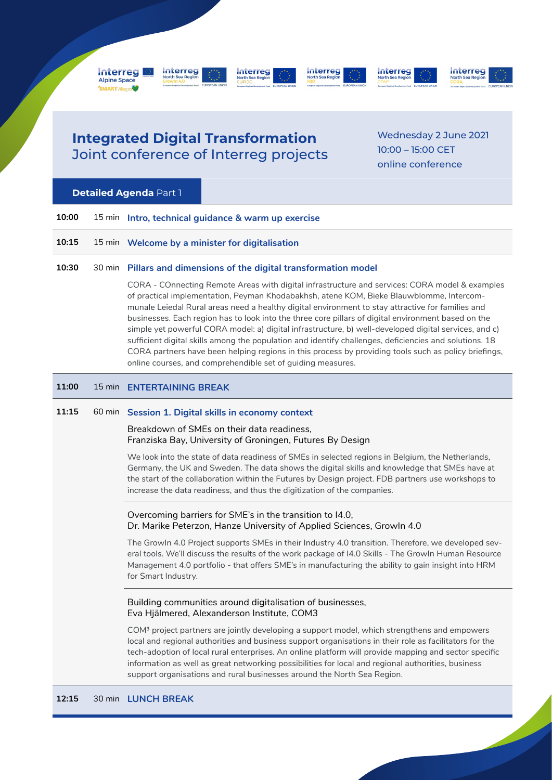

## **Integrated Digital Transformation** Joint conference of Interreg projects

Wednesday 2 June 2021 10:00 – 15:00 CET online conference

## **Detailed Agenda** Part 1

| 10:00 | 15 min Intro, technical guidance & warm up exercise                                                                                                                                                                                                                                             |
|-------|-------------------------------------------------------------------------------------------------------------------------------------------------------------------------------------------------------------------------------------------------------------------------------------------------|
| 10:15 | 15 min  Welcome by a minister for digitalisation                                                                                                                                                                                                                                                |
| 10:30 | 30 min Pillars and dimensions of the digital transformation model                                                                                                                                                                                                                               |
|       | CORA - COnnecting Remote Areas with digital infrastructure and services: CORA model & examples<br>of practical implementation, Peyman Khodabakhsh, atene KOM, Bieke Blauwblomme, Intercom-<br>munale Leiedal Rural areas need a healthy digital environment to stay attractive for families and |

businesses. Each region has to look into the three core pillars of digital environment based on the simple yet powerful CORA model: a) digital infrastructure, b) well-developed digital services, and c) sufficient digital skills among the population and identify challenges, deficiencies and solutions. 18 CORA partners have been helping regions in this process by providing tools such as policy briefings, online courses, and comprehendible set of guiding measures.

### **11:00** 15 min **ENTERTAINING BREAK**

## **11:15** 60 min **Session 1. Digital skills in economy context**

#### Breakdown of SMEs on their data readiness, Franziska Bay, University of Groningen, Futures By Design

We look into the state of data readiness of SMEs in selected regions in Belgium, the Netherlands, Germany, the UK and Sweden. The data shows the digital skills and knowledge that SMEs have at the start of the collaboration within the Futures by Design project. FDB partners use workshops to increase the data readiness, and thus the digitization of the companies.

## Overcoming barriers for SME's in the transition to I4.0, Dr. Marike Peterzon, Hanze University of Applied Sciences, GrowIn 4.0

The GrowIn 4.0 Project supports SMEs in their Industry 4.0 transition. Therefore, we developed several tools. We'll discuss the results of the work package of I4.0 Skills - The GrowIn Human Resource Management 4.0 portfolio - that offers SME's in manufacturing the ability to gain insight into HRM for Smart Industry.

### Building communities around digitalisation of businesses, Eva Hjälmered, Alexanderson Institute, COM3

COM³ project partners are jointly developing a support model, which strengthens and empowers local and regional authorities and business support organisations in their role as facilitators for the tech-adoption of local rural enterprises. An online platform will provide mapping and sector specific information as well as great networking possibilities for local and regional authorities, business support organisations and rural businesses around the North Sea Region.